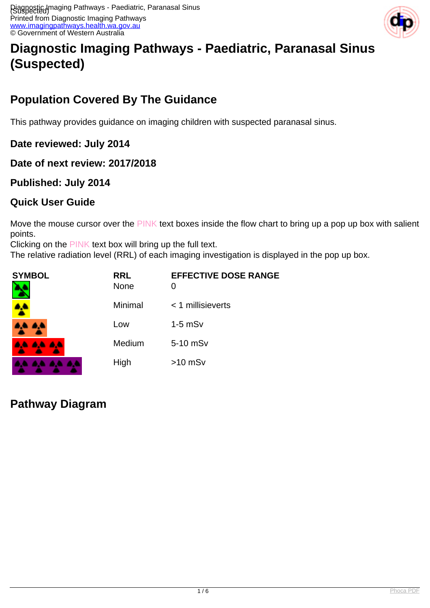

# **Diagnostic Imaging Pathways - Paediatric, Paranasal Sinus (Suspected)**

## **Population Covered By The Guidance**

This pathway provides guidance on imaging children with suspected paranasal sinus.

**Date reviewed: July 2014**

**Date of next review: 2017/2018**

### **Published: July 2014**

### **Quick User Guide**

Move the mouse cursor over the PINK text boxes inside the flow chart to bring up a pop up box with salient points.

Clicking on the PINK text box will bring up the full text.

The relative radiation level (RRL) of each imaging investigation is displayed in the pop up box.

| <b>SYMBOL</b><br>Б | <b>RRL</b><br><b>None</b> | <b>EFFECTIVE DOSE RANGE</b><br>O |
|--------------------|---------------------------|----------------------------------|
|                    | Minimal                   | $<$ 1 millisieverts              |
| A.A. A.A.          | Low                       | $1-5$ mS $v$                     |
| <b>AA AA AA</b>    | Medium                    | 5-10 mSv                         |
| aa aa              | High                      | $>10$ mSv                        |

**Pathway Diagram**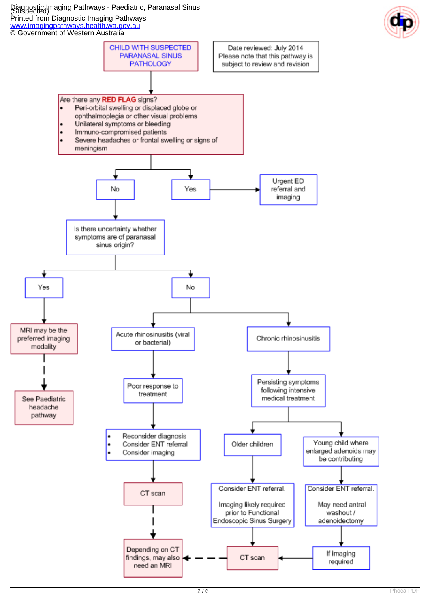Diagnostic Imaging Pathways - Paediatric, Paranasal Sinus (Suspected) Printed from Diagnostic Imaging Pathways [www.imagingpathways.health.wa.gov.au](http://www.imagingpathways.health.wa.gov.au/)



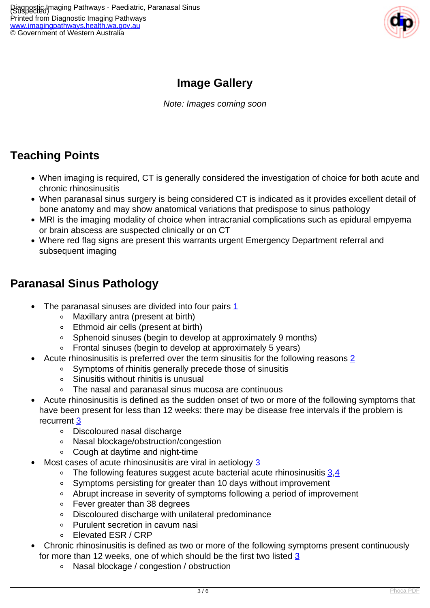

## **Image Gallery**

Note: Images coming soon

## **Teaching Points**

- When imaging is required, CT is generally considered the investigation of choice for both acute and chronic rhinosinusitis
- When paranasal sinus surgery is being considered CT is indicated as it provides excellent detail of bone anatomy and may show anatomical variations that predispose to sinus pathology
- MRI is the imaging modality of choice when intracranial complications such as epidural empyema or brain abscess are suspected clinically or on CT
- Where red flag signs are present this warrants urgent Emergency Department referral and subsequent imaging

### **Paranasal Sinus Pathology**

- The paranasal sinuses are divided into four pairs  $1$ 
	- Maxillary antra (present at birth)
	- Ethmoid air cells (present at birth)
	- Sphenoid sinuses (begin to develop at approximately 9 months)
	- Frontal sinuses (begin to develop at approximately 5 years)
- Acute rhinosinusitis is preferred over the term sinusitis for the following reasons [2](index.php?option=com_content&view=article&id=235&tab=references#2)
	- Symptoms of rhinitis generally precede those of sinusitis
	- Sinusitis without rhinitis is unusual
	- The nasal and paranasal sinus mucosa are continuous  $\circ$
- Acute rhinosinusitis is defined as the sudden onset of two or more of the following symptoms that have been present for less than 12 weeks: there may be disease free intervals if the problem is recurrent [3](index.php?option=com_content&view=article&id=235&tab=references#3)
	- Discoloured nasal discharge
	- Nasal blockage/obstruction/congestion
	- Cough at daytime and night-time
- Most cases of acute rhinosinusitis are viral in aetiology [3](index.php?option=com_content&view=article&id=235&tab=references#3)
	- $\circ$  The following features suggest acute bacterial acute rhinosinusitis  $3.4$  $3.4$  $3.4$
	- Symptoms persisting for greater than 10 days without improvement
	- Abrupt increase in severity of symptoms following a period of improvement
	- Fever greater than 38 degrees
	- Discoloured discharge with unilateral predominance
	- Purulent secretion in cavum nasi
	- o Flevated FSR / CRP
- Chronic rhinosinusitis is defined as two or more of the following symptoms present continuously for more than 12 weeks, one of which should be the first two listed [3](index.php?option=com_content&view=article&id=235&tab=references#3)
	- $\circ$ Nasal blockage / congestion / obstruction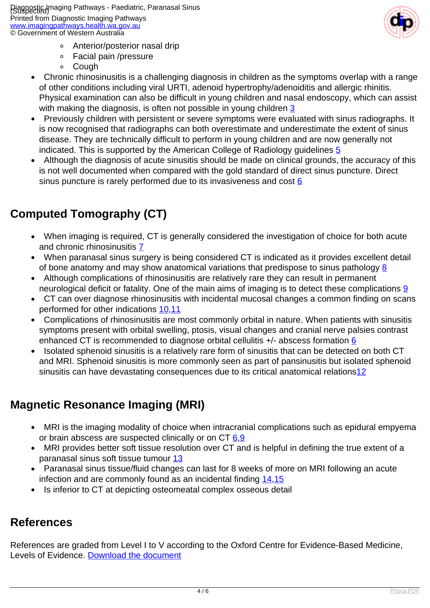

- Anterior/posterior nasal drip
- Facial pain /pressure  $\circ$
- $\circ$ Cough
- Chronic rhinosinusitis is a challenging diagnosis in children as the symptoms overlap with a range  $\bullet$ of other conditions including viral URTI, adenoid hypertrophy/adenoiditis and allergic rhinitis. Physical examination can also be difficult in young children and nasal endoscopy, which can assist with making the diagnosis, is often not possible in young children [3](index.php?option=com_content&view=article&id=235&tab=references#3)
- Previously children with persistent or severe symptoms were evaluated with sinus radiographs. It is now recognised that radiographs can both overestimate and underestimate the extent of sinus disease. They are technically difficult to perform in young children and are now generally not indicated. This is supported by the American College of Radiology guidelines [5](index.php?option=com_content&view=article&id=235&tab=references#5)
- Although the diagnosis of acute sinusitis should be made on clinical grounds, the accuracy of this is not well documented when compared with the gold standard of direct sinus puncture. Direct sinus puncture is rarely performed due to its invasiveness and cost  $6$

## **Computed Tomography (CT)**

- When imaging is required, CT is generally considered the investigation of choice for both acute and chronic rhinosinusitis [7](index.php?option=com_content&view=article&id=235&tab=references#7)
- When paranasal sinus surgery is being considered CT is indicated as it provides excellent detail of bone anatomy and may show anatomical variations that predispose to sinus pathology  $8$
- Although complications of rhinosinusitis are relatively rare they can result in permanent neurological deficit or fatality. One of the main aims of imaging is to detect these complications [9](index.php?option=com_content&view=article&id=235&tab=references#9)
- CT can over diagnose rhinosinusitis with incidental mucosal changes a common finding on scans performed for other indications [10,](index.php?option=com_content&view=article&id=235&tab=references#10)[11](index.php?option=com_content&view=article&id=235&tab=references#11)
- Complications of rhinosinusitis are most commonly orbital in nature. When patients with sinusitis symptoms present with orbital swelling, ptosis, visual changes and cranial nerve palsies contrast enhanced CT is recommended to diagnose orbital cellulitis +/- abscess formation [6](index.php?option=com_content&view=article&id=235&tab=references#6)
- Isolated sphenoid sinusitis is a relatively rare form of sinusitis that can be detected on both CT and MRI. Sphenoid sinusitis is more commonly seen as part of pansinusitis but isolated sphenoid sinusitis can have devastating consequences due to its critical anatomical relations<sup>[12](index.php?option=com_content&view=article&id=235&tab=references#12)</sup>

## **Magnetic Resonance Imaging (MRI)**

- MRI is the imaging modality of choice when intracranial complications such as epidural empyema or brain abscess are suspected clinically or on  $CT 6.9$  $CT 6.9$  $CT 6.9$
- MRI provides better soft tissue resolution over CT and is helpful in defining the true extent of a paranasal sinus soft tissue tumour [13](index.php?option=com_content&view=article&id=235&tab=references#13)
- Paranasal sinus tissue/fluid changes can last for 8 weeks of more on MRI following an acute infection and are commonly found as an incidental finding [14](index.php?option=com_content&view=article&id=235&tab=references#14),[15](index.php?option=com_content&view=article&id=235&tab=references#15)
- Is inferior to CT at depicting osteomeatal complex osseous detail

## **References**

References are graded from Level I to V according to the Oxford Centre for Evidence-Based Medicine, Levels of Evidence. [Download the document](http://www.cebm.net/wp-content/uploads/2014/06/CEBM-Levels-of-Evidence-2.1.pdf)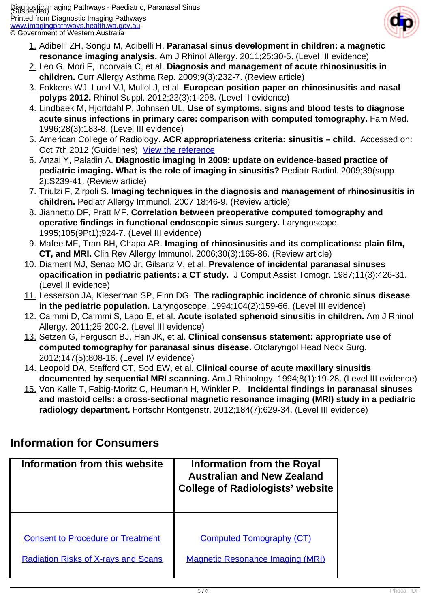

- 1. Adibelli ZH, Songu M, Adibelli H. **Paranasal sinus development in children: a magnetic resonance imaging analysis.** Am J Rhinol Allergy. 2011;25:30-5. (Level III evidence)
- 2. Leo G, Mori F, Incorvaia C, et al. **Diagnosis and management of acute rhinosinusitis in children.** Curr Allergy Asthma Rep. 2009;9(3):232-7. (Review article)
- 3. Fokkens WJ, Lund VJ, Mullol J, et al. **European position paper on rhinosinusitis and nasal polyps 2012.** Rhinol Suppl. 2012;23(3):1-298. (Level II evidence)
- 4. Lindbaek M, Hjortdahl P, Johnsen UL. **Use of symptoms, signs and blood tests to diagnose acute sinus infections in primary care: comparison with computed tomography.** Fam Med. 1996;28(3):183-8. (Level III evidence)
- 5. American College of Radiology. **ACR appropriateness criteria: sinusitis child.** Accessed on: Oct 7th 2012 (Guidelines). [View the reference](http://www.acr.org/~/media/ACR/Documents/AppCriteria/Diagnostic/SinusitisChild.pdf)
- 6. Anzai Y, Paladin A. **Diagnostic imaging in 2009: update on evidence-based practice of pediatric imaging. What is the role of imaging in sinusitis?** Pediatr Radiol. 2009;39(supp 2):S239-41. (Review article)
- 7. Triulzi F, Zirpoli S. **Imaging techniques in the diagnosis and management of rhinosinusitis in children.** Pediatr Allergy Immunol. 2007;18:46-9. (Review article)
- 8. Jiannetto DF, Pratt MF. **Correlation between preoperative computed tomography and operative findings in functional endoscopic sinus surgery.** Laryngoscope. 1995;105(9Pt1);924-7. (Level III evidence)
- 9. Mafee MF, Tran BH, Chapa AR. **Imaging of rhinosinusitis and its complications: plain film, CT, and MRI.** Clin Rev Allergy Immunol. 2006;30(3):165-86. (Review article)
- 10. Diament MJ, Senac MO Jr, Gilsanz V, et al. **Prevalence of incidental paranasal sinuses opacification in pediatric patients: a CT study.** J Comput Assist Tomogr. 1987;11(3):426-31. (Level II evidence)
- 11. Lesserson JA, Kieserman SP, Finn DG. **The radiographic incidence of chronic sinus disease in the pediatric population.** Laryngoscope. 1994;104(2):159-66. (Level III evidence)
- 12. Caimmi D, Caimmi S, Labo E, et al. **Acute isolated sphenoid sinusitis in children.** Am J Rhinol Allergy. 2011;25:200-2. (Level III evidence)
- 13. Setzen G, Ferguson BJ, Han JK, et al. **Clinical consensus statement: appropriate use of computed tomography for paranasal sinus disease.** Otolaryngol Head Neck Surg. 2012;147(5):808-16. (Level IV evidence)
- 14. Leopold DA, Stafford CT, Sod EW, et al. **Clinical course of acute maxillary sinusitis documented by sequential MRI scanning.** Am J Rhinology. 1994;8(1):19-28. (Level III evidence)
- 15. Von Kalle T, Fabig-Moritz C, Heumann H, Winkler P. **Incidental findings in paranasal sinuses and mastoid cells: a cross-sectional magnetic resonance imaging (MRI) study in a pediatric radiology department.** Fortschr Rontgenstr. 2012;184(7):629-34. (Level III evidence)

## **Information for Consumers**

| Information from this website              | Information from the Royal<br><b>Australian and New Zealand</b><br><b>College of Radiologists' website</b> |  |
|--------------------------------------------|------------------------------------------------------------------------------------------------------------|--|
| <b>Consent to Procedure or Treatment</b>   | <b>Computed Tomography (CT)</b>                                                                            |  |
| <b>Radiation Risks of X-rays and Scans</b> | <b>Magnetic Resonance Imaging (MRI)</b>                                                                    |  |